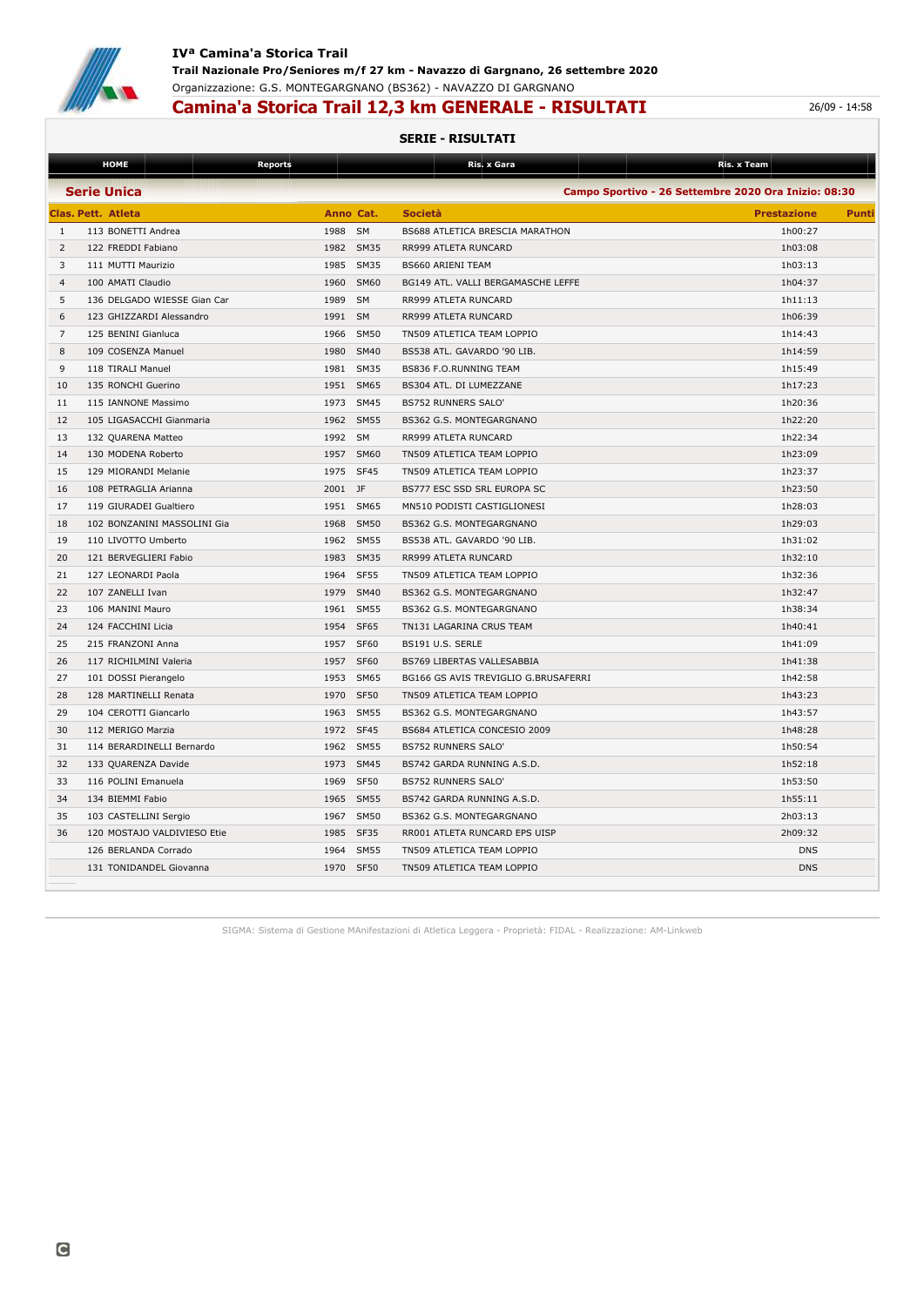

## **IVª Camina'a Storica Trail Trail Nazionale Pro/Seniores m/f 27 km - Navazzo di Gargnano, 26 settembre 2020** Organizzazione: G.S. MONTEGARGNANO (BS362) - NAVAZZO DI GARGNANO

# **Camina'a Storica Trail 12,3 km GENERALE - RISULTATI** 26/09 - 14:58

#### **SERIE - RISULTATI**

|                                                                            | <b>HOME</b>                 | <b>Reports</b>    |                  | Ris. x Gara                          | Ris. x Team        |       |  |  |  |
|----------------------------------------------------------------------------|-----------------------------|-------------------|------------------|--------------------------------------|--------------------|-------|--|--|--|
| <b>Serie Unica</b><br>Campo Sportivo - 26 Settembre 2020 Ora Inizio: 08:30 |                             |                   |                  |                                      |                    |       |  |  |  |
|                                                                            | <b>Clas. Pett. Atleta</b>   | Anno Cat.         |                  | <b>Società</b>                       | <b>Prestazione</b> | Punti |  |  |  |
| 1                                                                          | 113 BONETTI Andrea          | 1988<br><b>SM</b> |                  | BS688 ATLETICA BRESCIA MARATHON      | 1h00:27            |       |  |  |  |
| $\overline{2}$                                                             | 122 FREDDI Fabiano          | 1982 SM35         |                  | RR999 ATLETA RUNCARD                 | 1h03:08            |       |  |  |  |
| 3                                                                          | 111 MUTTI Maurizio          | 1985              | <b>SM35</b>      | <b>BS660 ARIENI TEAM</b>             | 1h03:13            |       |  |  |  |
| $\overline{4}$                                                             | 100 AMATI Claudio           | 1960              | <b>SM60</b>      | BG149 ATL. VALLI BERGAMASCHE LEFFE   | 1h04:37            |       |  |  |  |
| 5                                                                          | 136 DELGADO WIESSE Gian Car | 1989<br><b>SM</b> |                  | RR999 ATLETA RUNCARD                 | 1h11:13            |       |  |  |  |
| 6                                                                          | 123 GHIZZARDI Alessandro    | <b>SM</b><br>1991 |                  | RR999 ATLETA RUNCARD                 | 1h06:39            |       |  |  |  |
| 7                                                                          | 125 BENINI Gianluca         | 1966              | <b>SM50</b>      | TN509 ATLETICA TEAM LOPPIO           | 1h14:43            |       |  |  |  |
| 8                                                                          | 109 COSENZA Manuel          | 1980              | SM40             | BS538 ATL. GAVARDO '90 LIB.          | 1h14:59            |       |  |  |  |
| 9                                                                          | 118 TIRALI Manuel           | 1981              | <b>SM35</b>      | BS836 F.O.RUNNING TEAM               | 1h15:49            |       |  |  |  |
| 10                                                                         | 135 RONCHI Guerino          | 1951              | SM65             | BS304 ATL. DI LUMEZZANE              | 1h17:23            |       |  |  |  |
| 11                                                                         | 115 IANNONE Massimo         | 1973 SM45         |                  | <b>BS752 RUNNERS SALO'</b>           | 1h20:36            |       |  |  |  |
| 12                                                                         | 105 LIGASACCHI Gianmaria    | 1962              | <b>SM55</b>      | BS362 G.S. MONTEGARGNANO             | 1h22:20            |       |  |  |  |
| 13                                                                         | 132 QUARENA Matteo          | 1992<br><b>SM</b> |                  | RR999 ATLETA RUNCARD                 | 1h22:34            |       |  |  |  |
| 14                                                                         | 130 MODENA Roberto          | 1957              | SM60             | TN509 ATLETICA TEAM LOPPIO           | 1h23:09            |       |  |  |  |
| 15                                                                         | 129 MIORANDI Melanie        | 1975              | SF <sub>45</sub> | TN509 ATLETICA TEAM LOPPIO           | 1h23:37            |       |  |  |  |
| 16                                                                         | 108 PETRAGLIA Arianna       | 2001 JF           |                  | BS777 ESC SSD SRL EUROPA SC          | 1h23:50            |       |  |  |  |
| 17                                                                         | 119 GIURADEI Gualtiero      | 1951              | SM65             | MN510 PODISTI CASTIGLIONESI          | 1h28:03            |       |  |  |  |
| 18                                                                         | 102 BONZANINI MASSOLINI Gia | 1968              | <b>SM50</b>      | BS362 G.S. MONTEGARGNANO             | 1h29:03            |       |  |  |  |
| 19                                                                         | 110 LIVOTTO Umberto         | 1962              | <b>SM55</b>      | BS538 ATL. GAVARDO '90 LIB.          | 1h31:02            |       |  |  |  |
| 20                                                                         | 121 BERVEGLIERI Fabio       | 1983              | SM35             | RR999 ATLETA RUNCARD                 | 1h32:10            |       |  |  |  |
| 21                                                                         | 127 LEONARDI Paola          | 1964              | <b>SF55</b>      | TN509 ATLETICA TEAM LOPPIO           | 1h32:36            |       |  |  |  |
| 22                                                                         | 107 ZANELLI Ivan            | 1979              | <b>SM40</b>      | BS362 G.S. MONTEGARGNANO             | 1h32:47            |       |  |  |  |
| 23                                                                         | 106 MANINI Mauro            | 1961              | <b>SM55</b>      | BS362 G.S. MONTEGARGNANO             | 1h38:34            |       |  |  |  |
| 24                                                                         | 124 FACCHINI Licia          | 1954              | <b>SF65</b>      | TN131 LAGARINA CRUS TEAM             | 1h40:41            |       |  |  |  |
| 25                                                                         | 215 FRANZONI Anna           | 1957              | <b>SF60</b>      | BS191 U.S. SERLE                     | 1h41:09            |       |  |  |  |
| 26                                                                         | 117 RICHILMINI Valeria      | 1957              | <b>SF60</b>      | BS769 LIBERTAS VALLESABBIA           | 1h41:38            |       |  |  |  |
| 27                                                                         | 101 DOSSI Pierangelo        | 1953              | SM65             | BG166 GS AVIS TREVIGLIO G.BRUSAFERRI | 1h42:58            |       |  |  |  |
| 28                                                                         | 128 MARTINELLI Renata       | 1970              | <b>SF50</b>      | TN509 ATLETICA TEAM LOPPIO           | 1h43:23            |       |  |  |  |
| 29                                                                         | 104 CEROTTI Giancarlo       | 1963 SM55         |                  | BS362 G.S. MONTEGARGNANO             | 1h43:57            |       |  |  |  |
| 30                                                                         | 112 MERIGO Marzia           | 1972              | SF <sub>45</sub> | BS684 ATLETICA CONCESIO 2009         | 1h48:28            |       |  |  |  |
| 31                                                                         | 114 BERARDINELLI Bernardo   | 1962              | <b>SM55</b>      | <b>BS752 RUNNERS SALO'</b>           | 1h50:54            |       |  |  |  |
| 32                                                                         | 133 QUARENZA Davide         | 1973              | <b>SM45</b>      | BS742 GARDA RUNNING A.S.D.           | 1h52:18            |       |  |  |  |
| 33                                                                         | 116 POLINI Emanuela         | 1969              | <b>SF50</b>      | <b>BS752 RUNNERS SALO'</b>           | 1h53:50            |       |  |  |  |
| 34                                                                         | 134 BIEMMI Fabio            | 1965              | <b>SM55</b>      | BS742 GARDA RUNNING A.S.D.           | 1h55:11            |       |  |  |  |
| 35                                                                         | 103 CASTELLINI Sergio       | 1967              | <b>SM50</b>      | BS362 G.S. MONTEGARGNANO             | 2h03:13            |       |  |  |  |
| 36                                                                         | 120 MOSTAJO VALDIVIESO Etie | 1985              | SF35             | RR001 ATLETA RUNCARD EPS UISP        | 2h09:32            |       |  |  |  |
|                                                                            | 126 BERLANDA Corrado        | 1964              | <b>SM55</b>      | TN509 ATLETICA TEAM LOPPIO           | <b>DNS</b>         |       |  |  |  |
|                                                                            | 131 TONIDANDEL Giovanna     | 1970 SF50         |                  | TN509 ATLETICA TEAM LOPPIO           | <b>DNS</b>         |       |  |  |  |
|                                                                            |                             |                   |                  |                                      |                    |       |  |  |  |

SIGMA: Sistema di Gestione MAnifestazioni di Atletica Leggera - Proprietà: FIDAL - Realizzazione: AM-Linkweb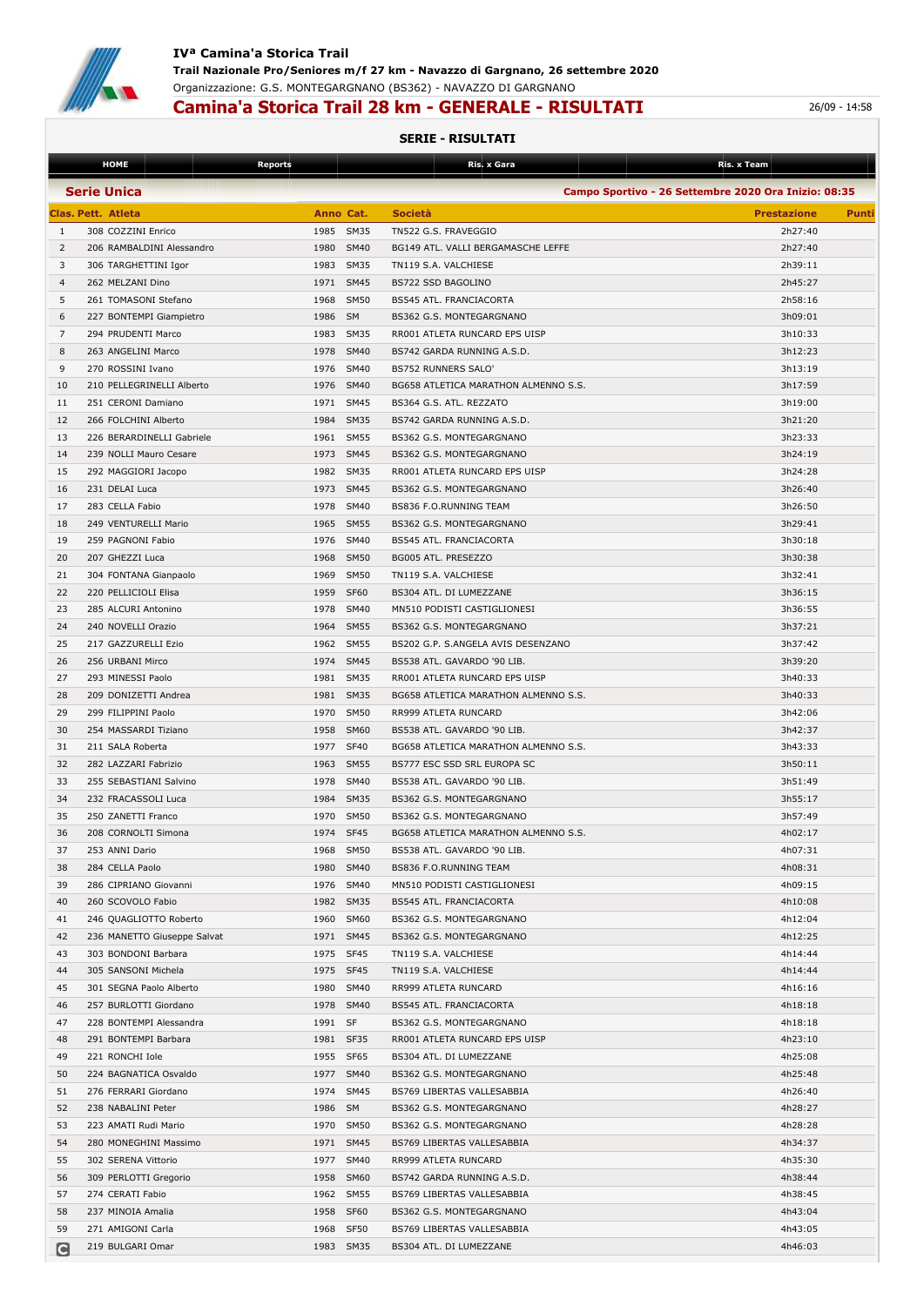

# **Camina'a Storica Trail 28 km - GENERALE - RISULTATI** 26/09 - 14:58

### **SERIE - RISULTATI**

|                    | <b>HOME</b>                                   | <b>Reports</b> |             | Ris. x Gara                                           | Ris. x Team                                          |       |
|--------------------|-----------------------------------------------|----------------|-------------|-------------------------------------------------------|------------------------------------------------------|-------|
|                    | <b>Serie Unica</b>                            |                |             |                                                       | Campo Sportivo - 26 Settembre 2020 Ora Inizio: 08:35 |       |
|                    | <b>Clas. Pett. Atleta</b>                     | Anno Cat.      |             | <b>Società</b>                                        | <b>Prestazione</b>                                   | Punti |
| 1                  | 308 COZZINI Enrico                            | 1985           | SM35        | TN522 G.S. FRAVEGGIO                                  | 2h27:40                                              |       |
| 2                  | 206 RAMBALDINI Alessandro                     | 1980 SM40      |             | BG149 ATL. VALLI BERGAMASCHE LEFFE                    | 2h27:40                                              |       |
| 3                  | 306 TARGHETTINI Igor                          | 1983 SM35      |             | TN119 S.A. VALCHIESE                                  | 2h39:11                                              |       |
| $\overline{4}$     | 262 MELZANI Dino                              | 1971 SM45      |             | BS722 SSD BAGOLINO                                    | 2h45:27                                              |       |
| 5                  | 261 TOMASONI Stefano                          | 1968           | <b>SM50</b> | BS545 ATL. FRANCIACORTA                               | 2h58:16                                              |       |
| 6                  |                                               | 1986 SM        |             | BS362 G.S. MONTEGARGNANO                              | 3h09:01                                              |       |
| 7                  | 227 BONTEMPI Giampietro<br>294 PRUDENTI Marco | 1983 SM35      |             | RR001 ATLETA RUNCARD EPS UISP                         | 3h10:33                                              |       |
| 8                  | 263 ANGELINI Marco                            | 1978           | <b>SM40</b> | BS742 GARDA RUNNING A.S.D.                            | 3h12:23                                              |       |
| 9                  | 270 ROSSINI Ivano                             | 1976 SM40      |             | BS752 RUNNERS SALO'                                   | 3h13:19                                              |       |
| 10                 | 210 PELLEGRINELLI Alberto                     | 1976 SM40      |             | BG658 ATLETICA MARATHON ALMENNO S.S.                  | 3h17:59                                              |       |
| 11                 | 251 CERONI Damiano                            | 1971 SM45      |             |                                                       | 3h19:00                                              |       |
| 12                 | 266 FOLCHINI Alberto                          | 1984           | SM35        | BS364 G.S. ATL. REZZATO<br>BS742 GARDA RUNNING A.S.D. | 3h21:20                                              |       |
| 13                 | 226 BERARDINELLI Gabriele                     | 1961           | <b>SM55</b> |                                                       | 3h23:33                                              |       |
|                    |                                               |                |             | BS362 G.S. MONTEGARGNANO                              |                                                      |       |
| 14                 | 239 NOLLI Mauro Cesare                        | 1973 SM45      |             | BS362 G.S. MONTEGARGNANO                              | 3h24:19                                              |       |
| 15                 | 292 MAGGIORI Jacopo                           | 1982 SM35      |             | RR001 ATLETA RUNCARD EPS UISP                         | 3h24:28                                              |       |
| 16                 | 231 DELAI Luca                                | 1973 SM45      |             | BS362 G.S. MONTEGARGNANO                              | 3h26:40                                              |       |
| 17                 | 283 CELLA Fabio                               | 1978 SM40      |             | BS836 F.O.RUNNING TEAM                                | 3h26:50                                              |       |
| 18                 | 249 VENTURELLI Mario                          | 1965           | <b>SM55</b> | <b>BS362 G.S. MONTEGARGNANO</b>                       | 3h29:41                                              |       |
| 19                 | 259 PAGNONI Fabio                             | 1976           | <b>SM40</b> | BS545 ATL. FRANCIACORTA                               | 3h30:18                                              |       |
| 20                 | 207 GHEZZI Luca                               | 1968 SM50      |             | BG005 ATL. PRESEZZO                                   | 3h30:38                                              |       |
| 21                 | 304 FONTANA Gianpaolo                         | 1969           | <b>SM50</b> | TN119 S.A. VALCHIESE                                  | 3h32:41                                              |       |
| 22                 | 220 PELLICIOLI Elisa                          | 1959           | SF60        | BS304 ATL. DI LUMEZZANE                               | 3h36:15                                              |       |
| 23                 | 285 ALCURI Antonino                           | 1978           | <b>SM40</b> | MN510 PODISTI CASTIGLIONESI                           | 3h36:55                                              |       |
| 24                 | 240 NOVELLI Orazio                            | 1964 SM55      |             | BS362 G.S. MONTEGARGNANO                              | 3h37:21                                              |       |
| 25                 | 217 GAZZURELLI Ezio                           | 1962 SM55      |             | BS202 G.P. S.ANGELA AVIS DESENZANO                    | 3h37:42                                              |       |
| 26                 | 256 URBANI Mirco                              | 1974           | <b>SM45</b> | BS538 ATL. GAVARDO '90 LIB.                           | 3h39:20                                              |       |
| 27                 | 293 MINESSI Paolo                             | 1981 SM35      |             | RR001 ATLETA RUNCARD EPS UISP                         | 3h40:33                                              |       |
| 28                 | 209 DONIZETTI Andrea                          | 1981 SM35      |             | BG658 ATLETICA MARATHON ALMENNO S.S.                  | 3h40:33                                              |       |
| 29                 | 299 FILIPPINI Paolo                           | 1970 SM50      |             | RR999 ATLETA RUNCARD                                  | 3h42:06                                              |       |
| 30                 | 254 MASSARDI Tiziano                          | 1958 SM60      |             | BS538 ATL. GAVARDO '90 LIB.                           | 3h42:37                                              |       |
| 31                 | 211 SALA Roberta                              | 1977 SF40      |             | BG658 ATLETICA MARATHON ALMENNO S.S.                  | 3h43:33                                              |       |
| 32                 | 282 LAZZARI Fabrizio                          | 1963 SM55      |             | BS777 ESC SSD SRL EUROPA SC                           | 3h50:11                                              |       |
| 33                 | 255 SEBASTIANI Salvino                        | 1978           | <b>SM40</b> | BS538 ATL. GAVARDO '90 LIB.                           | 3h51:49                                              |       |
| 34                 | 232 FRACASSOLI Luca                           | 1984 SM35      |             | BS362 G.S. MONTEGARGNANO                              | 3h55:17                                              |       |
| 35                 | 250 ZANETTI Franco                            | 1970 SM50      |             | BS362 G.S. MONTEGARGNANO                              | 3h57:49                                              |       |
| 36                 | 208 CORNOLTI Simona                           | 1974 SF45      |             | BG658 ATLETICA MARATHON ALMENNO S.S.                  | 4h02:17                                              |       |
| 37                 | 253 ANNI Dario                                | 1968 SM50      |             | BS538 ATL. GAVARDO '90 LIB.                           | 4h07:31                                              |       |
| 38                 | 284 CELLA Paolo                               | 1980 SM40      |             | BS836 F.O.RUNNING TEAM                                | 4h08:31                                              |       |
| 39                 | 286 CIPRIANO Giovanni                         | 1976 SM40      |             | MN510 PODISTI CASTIGLIONESI                           | 4h09:15                                              |       |
| 40                 | 260 SCOVOLO Fabio                             | 1982 SM35      |             | <b>BS545 ATL. FRANCIACORTA</b>                        | 4h10:08                                              |       |
| 41                 | 246 QUAGLIOTTO Roberto                        | 1960 SM60      |             | BS362 G.S. MONTEGARGNANO                              | 4h12:04                                              |       |
| 42                 | 236 MANETTO Giuseppe Salvat                   | 1971 SM45      |             | BS362 G.S. MONTEGARGNANO                              | 4h12:25                                              |       |
| 43                 | 303 BONDONI Barbara                           | 1975 SF45      |             | TN119 S.A. VALCHIESE                                  | 4h14:44                                              |       |
| 44                 | 305 SANSONI Michela                           | 1975 SF45      |             | TN119 S.A. VALCHIESE                                  | 4h14:44                                              |       |
| 45                 | 301 SEGNA Paolo Alberto                       | 1980 SM40      |             | RR999 ATLETA RUNCARD                                  | 4h16:16                                              |       |
| 46                 | 257 BURLOTTI Giordano                         | 1978 SM40      |             | <b>BS545 ATL. FRANCIACORTA</b>                        | 4h18:18                                              |       |
| 47                 | 228 BONTEMPI Alessandra                       | 1991 SF        |             | BS362 G.S. MONTEGARGNANO                              | 4h18:18                                              |       |
| 48                 | 291 BONTEMPI Barbara                          | 1981 SF35      |             | RR001 ATLETA RUNCARD EPS UISP                         | 4h23:10                                              |       |
| 49                 | 221 RONCHI Iole                               | 1955 SF65      |             | BS304 ATL. DI LUMEZZANE                               | 4h25:08                                              |       |
| 50                 | 224 BAGNATICA Osvaldo                         | 1977 SM40      |             | BS362 G.S. MONTEGARGNANO                              | 4h25:48                                              |       |
| 51                 | 276 FERRARI Giordano                          | 1974 SM45      |             | BS769 LIBERTAS VALLESABBIA                            | 4h26:40                                              |       |
| 52                 | 238 NABALINI Peter                            | 1986 SM        |             | BS362 G.S. MONTEGARGNANO                              | 4h28:27                                              |       |
| 53                 | 223 AMATI Rudi Mario                          | 1970 SM50      |             | BS362 G.S. MONTEGARGNANO                              | 4h28:28                                              |       |
| 54                 | 280 MONEGHINI Massimo                         | 1971 SM45      |             | BS769 LIBERTAS VALLESABBIA                            | 4h34:37                                              |       |
| 55                 | 302 SERENA Vittorio                           | 1977 SM40      |             | RR999 ATLETA RUNCARD                                  | 4h35:30                                              |       |
| 56                 | 309 PERLOTTI Gregorio                         | 1958 SM60      |             | BS742 GARDA RUNNING A.S.D.                            | 4h38:44                                              |       |
| 57                 | 274 CERATI Fabio                              | 1962 SM55      |             | BS769 LIBERTAS VALLESABBIA                            | 4h38:45                                              |       |
| 58                 | 237 MINOIA Amalia                             | 1958 SF60      |             | BS362 G.S. MONTEGARGNANO                              | 4h43:04                                              |       |
| 59                 | 271 AMIGONI Carla                             | 1968 SF50      |             | BS769 LIBERTAS VALLESABBIA                            | 4h43:05                                              |       |
| $\vert \cap \vert$ | 219 BULGARI Omar                              | 1983 SM35      |             | BS304 ATL. DI LUMEZZANE                               | 4h46:03                                              |       |